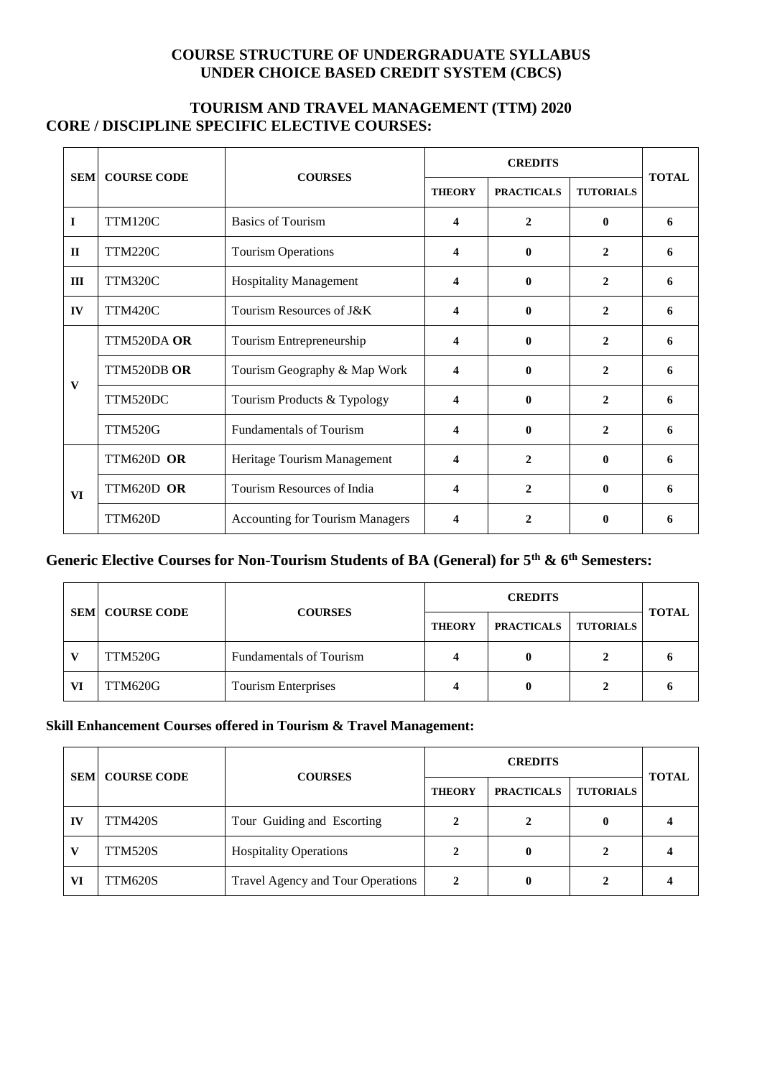# **COURSE STRUCTURE OF UNDERGRADUATE SYLLABUS UNDER CHOICE BASED CREDIT SYSTEM (CBCS)**

# **TOURISM AND TRAVEL MANAGEMENT (TTM) 2020 CORE / DISCIPLINE SPECIFIC ELECTIVE COURSES:**

| <b>SEM</b>   | <b>COURSE CODE</b> | <b>COURSES</b>                         | <b>CREDITS</b> |                   |                  |              |
|--------------|--------------------|----------------------------------------|----------------|-------------------|------------------|--------------|
|              |                    |                                        | <b>THEORY</b>  | <b>PRACTICALS</b> | <b>TUTORIALS</b> | <b>TOTAL</b> |
| I            | <b>TTM120C</b>     | <b>Basics of Tourism</b>               | 4              | $\mathbf{2}$      | 0                | 6            |
| $\mathbf{I}$ | <b>TTM220C</b>     | <b>Tourism Operations</b>              | 4              | 0                 | $\mathbf{2}$     | 6            |
| III          | <b>TTM320C</b>     | <b>Hospitality Management</b>          | 4              | 0                 | $\mathbf{2}$     | 6            |
| IV           | <b>TTM420C</b>     | Tourism Resources of J&K               | 4              | 0                 | $\mathbf{2}$     | 6            |
| V            | TTM520DA OR        | Tourism Entrepreneurship               | 4              | $\mathbf{0}$      | $\mathbf{2}$     | 6            |
|              | TTM520DB OR        | Tourism Geography & Map Work           | 4              | 0                 | $\mathbf{2}$     | 6            |
|              | TTM520DC           | Tourism Products & Typology            | 4              | 0                 | $\mathbf{2}$     | 6            |
|              | <b>TTM520G</b>     | <b>Fundamentals of Tourism</b>         | 4              | $\mathbf{0}$      | $\mathbf{2}$     | 6            |
| <b>VI</b>    | TTM620D OR         | Heritage Tourism Management            | 4              | 2                 | 0                | 6            |
|              | TTM620D OR         | Tourism Resources of India             | 4              | $\mathbf{2}$      | 0                | 6            |
|              | TTM620D            | <b>Accounting for Tourism Managers</b> | 4              | $\mathbf{2}$      | 0                | 6            |

# **Generic Elective Courses for Non-Tourism Students of BA (General) for 5th & 6th Semesters:**

|    | <b>SEMI COURSE CODE</b> | <b>COURSES</b>                 | <b>CREDITS</b> |                   |                  |              |
|----|-------------------------|--------------------------------|----------------|-------------------|------------------|--------------|
|    |                         |                                | <b>THEORY</b>  | <b>PRACTICALS</b> | <b>TUTORIALS</b> | <b>TOTAL</b> |
|    | TTM520G                 | <b>Fundamentals of Tourism</b> |                |                   |                  |              |
| VI | TTM620G                 | Tourism Enterprises            |                |                   |                  |              |

# **Skill Enhancement Courses offered in Tourism & Travel Management:**

| <b>SEM</b> | <b>COURSE CODE</b> | <b>COURSES</b>                    | <b>CREDITS</b> |                   |                  |              |
|------------|--------------------|-----------------------------------|----------------|-------------------|------------------|--------------|
|            |                    |                                   | <b>THEORY</b>  | <b>PRACTICALS</b> | <b>TUTORIALS</b> | <b>TOTAL</b> |
| IV         | <b>TTM420S</b>     | Tour Guiding and Escorting        |                |                   | 0                |              |
|            | <b>TTM520S</b>     | <b>Hospitality Operations</b>     |                | 0                 | 2                |              |
| VI         | <b>TTM620S</b>     | Travel Agency and Tour Operations |                | 0                 | 2                |              |